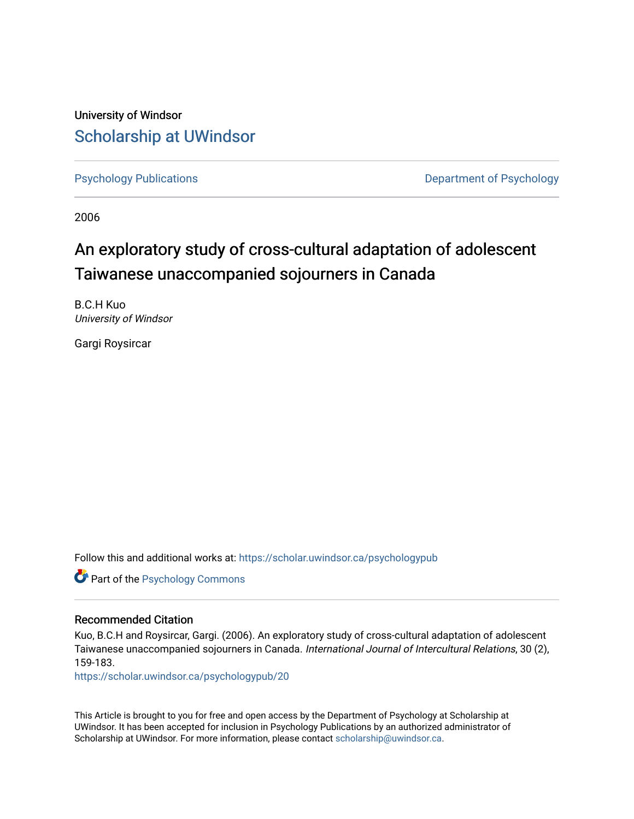University of Windsor [Scholarship at UWindsor](https://scholar.uwindsor.ca/) 

[Psychology Publications](https://scholar.uwindsor.ca/psychologypub) **Department of Psychology** 

2006

# An exploratory study of cross-cultural adaptation of adolescent Taiwanese unaccompanied sojourners in Canada

B.C.H Kuo University of Windsor

Gargi Roysircar

Follow this and additional works at: [https://scholar.uwindsor.ca/psychologypub](https://scholar.uwindsor.ca/psychologypub?utm_source=scholar.uwindsor.ca%2Fpsychologypub%2F20&utm_medium=PDF&utm_campaign=PDFCoverPages) 

Part of the [Psychology Commons](http://network.bepress.com/hgg/discipline/404?utm_source=scholar.uwindsor.ca%2Fpsychologypub%2F20&utm_medium=PDF&utm_campaign=PDFCoverPages) 

# Recommended Citation

Kuo, B.C.H and Roysircar, Gargi. (2006). An exploratory study of cross-cultural adaptation of adolescent Taiwanese unaccompanied sojourners in Canada. International Journal of Intercultural Relations, 30 (2), 159-183.

[https://scholar.uwindsor.ca/psychologypub/20](https://scholar.uwindsor.ca/psychologypub/20?utm_source=scholar.uwindsor.ca%2Fpsychologypub%2F20&utm_medium=PDF&utm_campaign=PDFCoverPages)

This Article is brought to you for free and open access by the Department of Psychology at Scholarship at UWindsor. It has been accepted for inclusion in Psychology Publications by an authorized administrator of Scholarship at UWindsor. For more information, please contact [scholarship@uwindsor.ca.](mailto:scholarship@uwindsor.ca)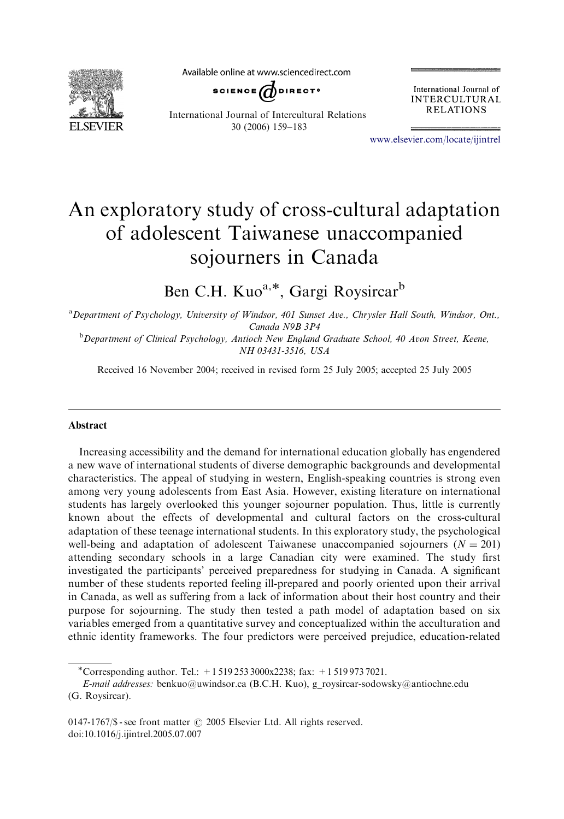

Available online at www.sciencedirect.com



International Journal of **INTERCULTURAL RELATIONS** 

International Journal of Intercultural Relations 30 (2006) 159–183

<www.elsevier.com/locate/ijintrel>

# An exploratory study of cross-cultural adaptation of adolescent Taiwanese unaccompanied sojourners in Canada

Ben C.H. Kuo<sup>a,\*</sup>, Gargi Roysircar<sup>b</sup>

a Department of Psychology, University of Windsor, 401 Sunset Ave., Chrysler Hall South, Windsor, Ont., Canada N9B 3P4 <sup>b</sup>Department of Clinical Psychology, Antioch New England Graduate School, 40 Avon Street, Keene,

NH 03431-3516, USA

Received 16 November 2004; received in revised form 25 July 2005; accepted 25 July 2005

#### Abstract

Increasing accessibility and the demand for international education globally has engendered a new wave of international students of diverse demographic backgrounds and developmental characteristics. The appeal of studying in western, English-speaking countries is strong even among very young adolescents from East Asia. However, existing literature on international students has largely overlooked this younger sojourner population. Thus, little is currently known about the effects of developmental and cultural factors on the cross-cultural adaptation of these teenage international students. In this exploratory study, the psychological well-being and adaptation of adolescent Taiwanese unaccompanied sojourners ( $N = 201$ ) attending secondary schools in a large Canadian city were examined. The study first investigated the participants' perceived preparedness for studying in Canada. A significant number of these students reported feeling ill-prepared and poorly oriented upon their arrival in Canada, as well as suffering from a lack of information about their host country and their purpose for sojourning. The study then tested a path model of adaptation based on six variables emerged from a quantitative survey and conceptualized within the acculturation and ethnic identity frameworks. The four predictors were perceived prejudice, education-related

<sup>\*</sup>Corresponding author. Tel.:  $+15192533000x2238$ ; fax:  $+15199737021$ .

E-mail addresses: benkuo@uwindsor.ca (B.C.H. Kuo), g\_roysircar-sodowsky@antiochne.edu (G. Roysircar).

<sup>0147-1767/\$ -</sup> see front matter  $\odot$  2005 Elsevier Ltd. All rights reserved. doi:10.1016/j.ijintrel.2005.07.007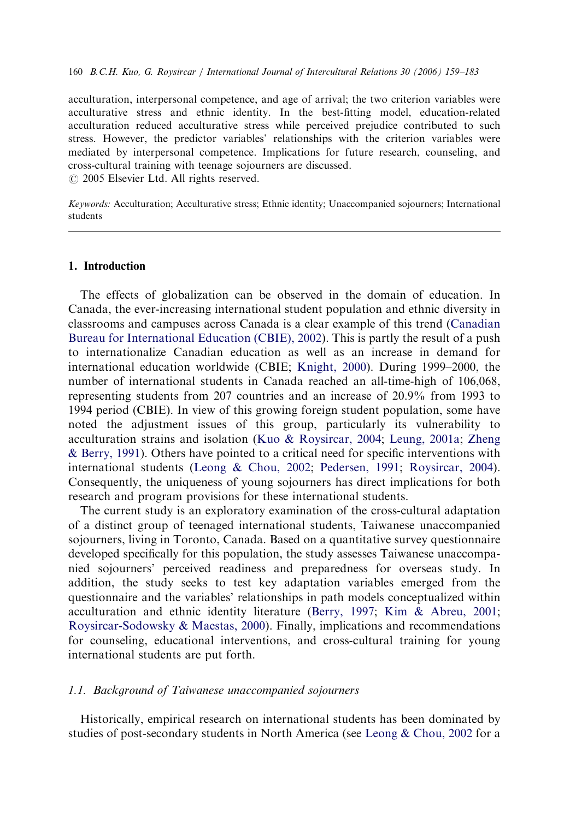acculturation, interpersonal competence, and age of arrival; the two criterion variables were acculturative stress and ethnic identity. In the best-fitting model, education-related acculturation reduced acculturative stress while perceived prejudice contributed to such stress. However, the predictor variables' relationships with the criterion variables were mediated by interpersonal competence. Implications for future research, counseling, and cross-cultural training with teenage sojourners are discussed.

 $\odot$  2005 Elsevier Ltd. All rights reserved.

Keywords: Acculturation; Acculturative stress; Ethnic identity; Unaccompanied sojourners; International students

#### 1. Introduction

The effects of globalization can be observed in the domain of education. In Canada, the ever-increasing international student population and ethnic diversity in classrooms and campuses across Canada is a clear example of this trend ([Canadian](#page-23-0) [Bureau for International Education \(CBIE\), 2002](#page-23-0)). This is partly the result of a push to internationalize Canadian education as well as an increase in demand for international education worldwide (CBIE; [Knight, 2000](#page-24-0)). During 1999–2000, the number of international students in Canada reached an all-time-high of 106,068, representing students from 207 countries and an increase of 20.9% from 1993 to 1994 period (CBIE). In view of this growing foreign student population, some have noted the adjustment issues of this group, particularly its vulnerability to acculturation strains and isolation [\(Kuo](#page-24-0) [& Roysircar, 2004](#page-24-0); [Leung, 2001a;](#page-24-0) [Zheng](#page-25-0) [& Berry, 1991\)](#page-25-0). Others have pointed to a critical need for specific interventions with international students ([Leong](#page-24-0) & [Chou, 2002;](#page-24-0) [Pedersen, 1991;](#page-24-0) [Roysircar, 2004](#page-24-0)). Consequently, the uniqueness of young sojourners has direct implications for both research and program provisions for these international students.

The current study is an exploratory examination of the cross-cultural adaptation of a distinct group of teenaged international students, Taiwanese unaccompanied sojourners, living in Toronto, Canada. Based on a quantitative survey questionnaire developed specifically for this population, the study assesses Taiwanese unaccompanied sojourners' perceived readiness and preparedness for overseas study. In addition, the study seeks to test key adaptation variables emerged from the questionnaire and the variables' relationships in path models conceptualized within acculturation and ethnic identity literature ([Berry, 1997;](#page-23-0) [Kim & Abreu, 2001;](#page-24-0) [Roysircar-Sodowsky](#page-24-0) [& Maestas, 2000](#page-24-0)). Finally, implications and recommendations for counseling, educational interventions, and cross-cultural training for young international students are put forth.

#### 1.1. Background of Taiwanese unaccompanied sojourners

Historically, empirical research on international students has been dominated by studies of post-secondary students in North America (see [Leong & Chou, 2002](#page-24-0) for a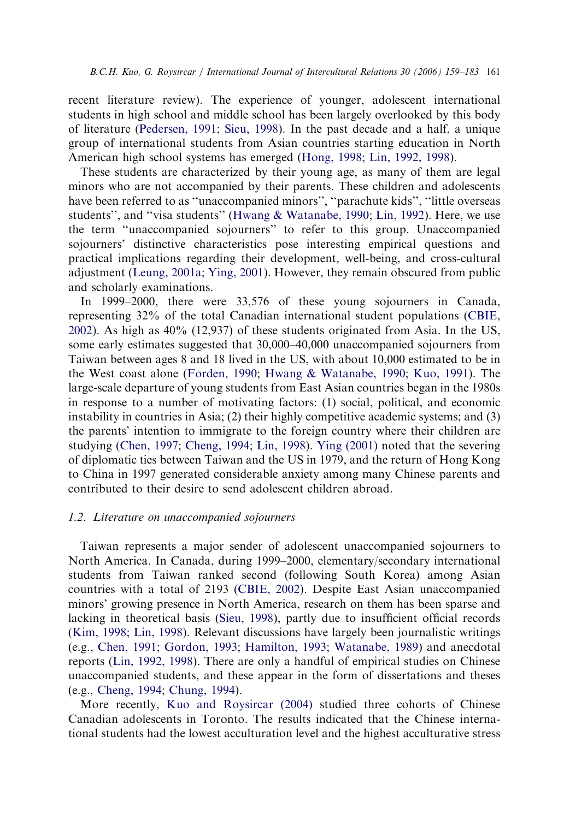recent literature review). The experience of younger, adolescent international students in high school and middle school has been largely overlooked by this body of literature ([Pedersen, 1991;](#page-24-0) [Sieu, 1998](#page-24-0)). In the past decade and a half, a unique group of international students from Asian countries starting education in North American high school systems has emerged [\(Hong, 1998](#page-23-0); [Lin, 1992, 1998](#page-24-0)).

These students are characterized by their young age, as many of them are legal minors who are not accompanied by their parents. These children and adolescents have been referred to as "unaccompanied minors", "parachute kids", "little overseas students'', and ''visa students'' [\(Hwang & Watanabe, 1990](#page-23-0); [Lin, 1992](#page-24-0)). Here, we use the term ''unaccompanied sojourners'' to refer to this group. Unaccompanied sojourners' distinctive characteristics pose interesting empirical questions and practical implications regarding their development, well-being, and cross-cultural adjustment ([Leung, 2001a](#page-24-0); [Ying, 2001\)](#page-25-0). However, they remain obscured from public and scholarly examinations.

In 1999–2000, there were 33,576 of these young sojourners in Canada, representing 32% of the total Canadian international student populations [\(CBIE,](#page-23-0) [2002\)](#page-23-0). As high as 40% (12,937) of these students originated from Asia. In the US, some early estimates suggested that 30,000–40,000 unaccompanied sojourners from Taiwan between ages 8 and 18 lived in the US, with about 10,000 estimated to be in the West coast alone [\(Forden, 1990](#page-23-0); [Hwang & Watanabe, 1990](#page-23-0); [Kuo, 1991\)](#page-24-0). The large-scale departure of young students from East Asian countries began in the 1980s in response to a number of motivating factors: (1) social, political, and economic instability in countries in Asia; (2) their highly competitive academic systems; and (3) the parents' intention to immigrate to the foreign country where their children are studying ([Chen, 1997;](#page-23-0) [Cheng, 1994](#page-23-0); [Lin, 1998\)](#page-24-0). [Ying \(2001\)](#page-25-0) noted that the severing of diplomatic ties between Taiwan and the US in 1979, and the return of Hong Kong to China in 1997 generated considerable anxiety among many Chinese parents and contributed to their desire to send adolescent children abroad.

#### 1.2. Literature on unaccompanied sojourners

Taiwan represents a major sender of adolescent unaccompanied sojourners to North America. In Canada, during 1999–2000, elementary/secondary international students from Taiwan ranked second (following South Korea) among Asian countries with a total of 2193 ([CBIE, 2002\)](#page-23-0). Despite East Asian unaccompanied minors' growing presence in North America, research on them has been sparse and lacking in theoretical basis [\(Sieu, 1998\)](#page-24-0), partly due to insufficient official records [\(Kim, 1998](#page-24-0); [Lin, 1998\)](#page-24-0). Relevant discussions have largely been journalistic writings (e.g., [Chen, 1991](#page-23-0); [Gordon, 1993](#page-23-0); [Hamilton, 1993;](#page-23-0) [Watanabe, 1989](#page-25-0)) and anecdotal reports ([Lin, 1992, 1998](#page-24-0)). There are only a handful of empirical studies on Chinese unaccompanied students, and these appear in the form of dissertations and theses (e.g., [Cheng, 1994](#page-23-0); [Chung, 1994](#page-23-0)).

More recently, [Kuo and Roysircar \(2004\)](#page-24-0) studied three cohorts of Chinese Canadian adolescents in Toronto. The results indicated that the Chinese international students had the lowest acculturation level and the highest acculturative stress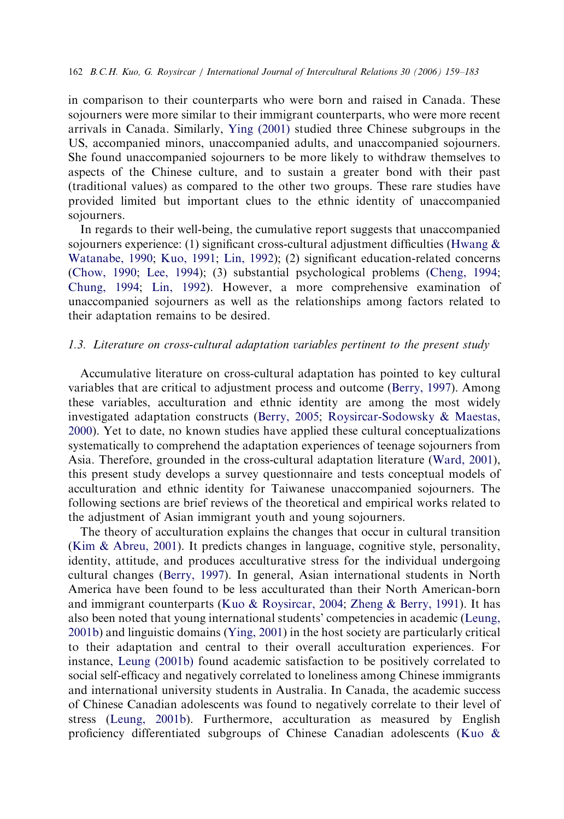in comparison to their counterparts who were born and raised in Canada. These sojourners were more similar to their immigrant counterparts, who were more recent arrivals in Canada. Similarly, [Ying \(2001\)](#page-25-0) studied three Chinese subgroups in the US, accompanied minors, unaccompanied adults, and unaccompanied sojourners. She found unaccompanied sojourners to be more likely to withdraw themselves to aspects of the Chinese culture, and to sustain a greater bond with their past (traditional values) as compared to the other two groups. These rare studies have provided limited but important clues to the ethnic identity of unaccompanied sojourners.

In regards to their well-being, the cumulative report suggests that unaccompanied sojourners experience: (1) significant cross-cultural adjustment difficulties (Hwang  $\&$ [Watanabe, 1990;](#page-23-0) [Kuo, 1991](#page-24-0); [Lin, 1992](#page-24-0)); (2) significant education-related concerns [\(Chow, 1990](#page-23-0); [Lee, 1994](#page-24-0)); (3) substantial psychological problems ([Cheng, 1994;](#page-23-0) [Chung, 1994;](#page-23-0) [Lin, 1992\)](#page-24-0). However, a more comprehensive examination of unaccompanied sojourners as well as the relationships among factors related to their adaptation remains to be desired.

#### 1.3. Literature on cross-cultural adaptation variables pertinent to the present study

Accumulative literature on cross-cultural adaptation has pointed to key cultural variables that are critical to adjustment process and outcome ([Berry, 1997](#page-23-0)). Among these variables, acculturation and ethnic identity are among the most widely investigated adaptation constructs ([Berry, 2005;](#page-23-0) [Roysircar-Sodowsky](#page-24-0) & [Maestas,](#page-24-0) [2000\)](#page-24-0). Yet to date, no known studies have applied these cultural conceptualizations systematically to comprehend the adaptation experiences of teenage sojourners from Asia. Therefore, grounded in the cross-cultural adaptation literature [\(Ward, 2001](#page-25-0)), this present study develops a survey questionnaire and tests conceptual models of acculturation and ethnic identity for Taiwanese unaccompanied sojourners. The following sections are brief reviews of the theoretical and empirical works related to the adjustment of Asian immigrant youth and young sojourners.

The theory of acculturation explains the changes that occur in cultural transition [\(Kim & Abreu, 2001](#page-24-0)). It predicts changes in language, cognitive style, personality, identity, attitude, and produces acculturative stress for the individual undergoing cultural changes [\(Berry, 1997](#page-23-0)). In general, Asian international students in North America have been found to be less acculturated than their North American-born and immigrant counterparts ([Kuo](#page-24-0) [& Roysircar, 2004;](#page-24-0) [Zheng](#page-25-0) & [Berry, 1991](#page-25-0)). It has also been noted that young international students' competencies in academic ([Leung,](#page-24-0) [2001b](#page-24-0)) and linguistic domains ([Ying, 2001\)](#page-25-0) in the host society are particularly critical to their adaptation and central to their overall acculturation experiences. For instance, [Leung \(2001b\)](#page-24-0) found academic satisfaction to be positively correlated to social self-efficacy and negatively correlated to loneliness among Chinese immigrants and international university students in Australia. In Canada, the academic success of Chinese Canadian adolescents was found to negatively correlate to their level of stress [\(Leung, 2001b](#page-24-0)). Furthermore, acculturation as measured by English proficiency differentiated subgroups of Chinese Canadian adolescents [\(Kuo &](#page-24-0)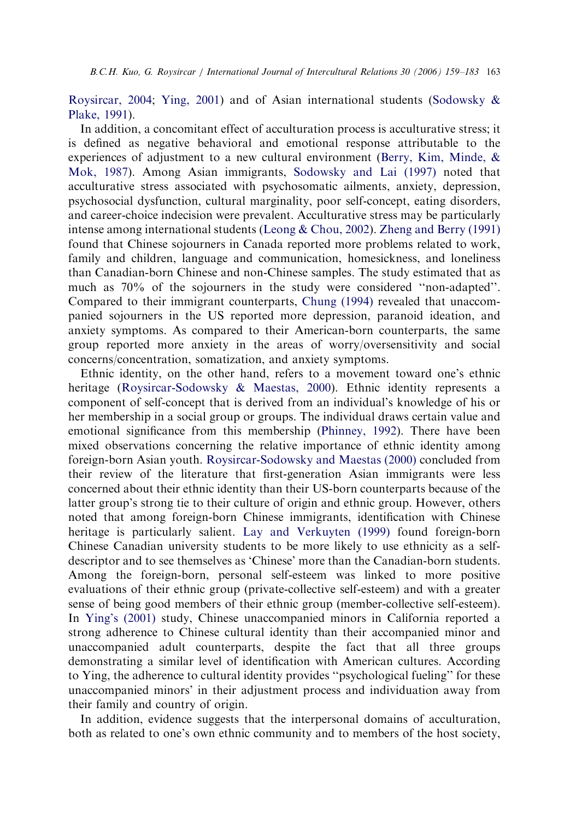[Roysircar, 2004](#page-24-0); [Ying, 2001](#page-25-0)) and of Asian international students [\(Sodowsky &](#page-25-0) [Plake, 1991](#page-25-0)).

In addition, a concomitant effect of acculturation process is acculturative stress; it is defined as negative behavioral and emotional response attributable to the experiences of adjustment to a new cultural environment [\(Berry, Kim, Minde, &](#page-23-0) [Mok, 1987](#page-23-0)). Among Asian immigrants, [Sodowsky and Lai \(1997\)](#page-25-0) noted that acculturative stress associated with psychosomatic ailments, anxiety, depression, psychosocial dysfunction, cultural marginality, poor self-concept, eating disorders, and career-choice indecision were prevalent. Acculturative stress may be particularly intense among international students [\(Leong & Chou, 2002\)](#page-24-0). [Zheng and Berry \(1991\)](#page-25-0) found that Chinese sojourners in Canada reported more problems related to work, family and children, language and communication, homesickness, and loneliness than Canadian-born Chinese and non-Chinese samples. The study estimated that as much as 70% of the sojourners in the study were considered ''non-adapted''. Compared to their immigrant counterparts, [Chung \(1994\)](#page-23-0) revealed that unaccompanied sojourners in the US reported more depression, paranoid ideation, and anxiety symptoms. As compared to their American-born counterparts, the same group reported more anxiety in the areas of worry/oversensitivity and social concerns/concentration, somatization, and anxiety symptoms.

Ethnic identity, on the other hand, refers to a movement toward one's ethnic heritage ([Roysircar-Sodowsky & Maestas, 2000\)](#page-24-0). Ethnic identity represents a component of self-concept that is derived from an individual's knowledge of his or her membership in a social group or groups. The individual draws certain value and emotional significance from this membership ([Phinney, 1992](#page-24-0)). There have been mixed observations concerning the relative importance of ethnic identity among foreign-born Asian youth. [Roysircar-Sodowsky and Maestas \(2000\)](#page-24-0) concluded from their review of the literature that first-generation Asian immigrants were less concerned about their ethnic identity than their US-born counterparts because of the latter group's strong tie to their culture of origin and ethnic group. However, others noted that among foreign-born Chinese immigrants, identification with Chinese heritage is particularly salient. [Lay and Verkuyten \(1999\)](#page-24-0) found foreign-born Chinese Canadian university students to be more likely to use ethnicity as a selfdescriptor and to see themselves as 'Chinese' more than the Canadian-born students. Among the foreign-born, personal self-esteem was linked to more positive evaluations of their ethnic group (private-collective self-esteem) and with a greater sense of being good members of their ethnic group (member-collective self-esteem). In [Ying's \(2001\)](#page-25-0) study, Chinese unaccompanied minors in California reported a strong adherence to Chinese cultural identity than their accompanied minor and unaccompanied adult counterparts, despite the fact that all three groups demonstrating a similar level of identification with American cultures. According to Ying, the adherence to cultural identity provides ''psychological fueling'' for these unaccompanied minors' in their adjustment process and individuation away from their family and country of origin.

In addition, evidence suggests that the interpersonal domains of acculturation, both as related to one's own ethnic community and to members of the host society,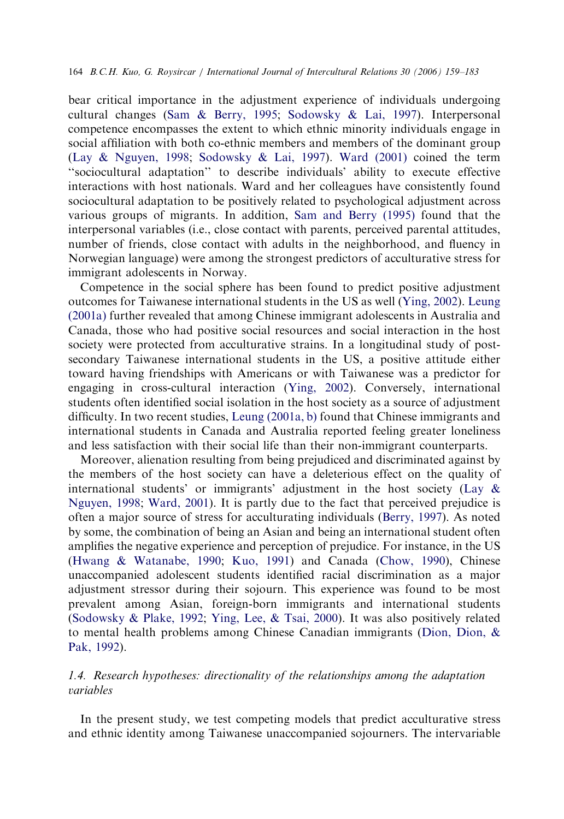bear critical importance in the adjustment experience of individuals undergoing cultural changes ([Sam & Berry, 1995](#page-24-0); [Sodowsky & Lai, 1997\)](#page-25-0). Interpersonal competence encompasses the extent to which ethnic minority individuals engage in social affiliation with both co-ethnic members and members of the dominant group [\(Lay](#page-24-0) & [Nguyen, 1998](#page-24-0); [Sodowsky](#page-25-0) [& Lai, 1997](#page-25-0)). [Ward \(2001\)](#page-25-0) coined the term ''sociocultural adaptation'' to describe individuals' ability to execute effective interactions with host nationals. Ward and her colleagues have consistently found sociocultural adaptation to be positively related to psychological adjustment across various groups of migrants. In addition, [Sam and Berry \(1995\)](#page-24-0) found that the interpersonal variables (i.e., close contact with parents, perceived parental attitudes, number of friends, close contact with adults in the neighborhood, and fluency in Norwegian language) were among the strongest predictors of acculturative stress for immigrant adolescents in Norway.

Competence in the social sphere has been found to predict positive adjustment outcomes for Taiwanese international students in the US as well ([Ying, 2002\)](#page-25-0). [Leung](#page-24-0) [\(2001a\)](#page-24-0) further revealed that among Chinese immigrant adolescents in Australia and Canada, those who had positive social resources and social interaction in the host society were protected from acculturative strains. In a longitudinal study of postsecondary Taiwanese international students in the US, a positive attitude either toward having friendships with Americans or with Taiwanese was a predictor for engaging in cross-cultural interaction [\(Ying, 2002\)](#page-25-0). Conversely, international students often identified social isolation in the host society as a source of adjustment difficulty. In two recent studies, [Leung \(2001a, b\)](#page-24-0) found that Chinese immigrants and international students in Canada and Australia reported feeling greater loneliness and less satisfaction with their social life than their non-immigrant counterparts.

Moreover, alienation resulting from being prejudiced and discriminated against by the members of the host society can have a deleterious effect on the quality of international students' or immigrants' adjustment in the host society ([Lay &](#page-24-0) [Nguyen, 1998;](#page-24-0) [Ward, 2001\)](#page-25-0). It is partly due to the fact that perceived prejudice is often a major source of stress for acculturating individuals [\(Berry, 1997\)](#page-23-0). As noted by some, the combination of being an Asian and being an international student often amplifies the negative experience and perception of prejudice. For instance, in the US [\(Hwang](#page-23-0) & [Watanabe, 1990;](#page-23-0) [Kuo, 1991\)](#page-24-0) and Canada [\(Chow, 1990\)](#page-23-0), Chinese unaccompanied adolescent students identified racial discrimination as a major adjustment stressor during their sojourn. This experience was found to be most prevalent among Asian, foreign-born immigrants and international students [\(Sodowsky](#page-25-0) & [Plake, 1992;](#page-25-0) [Ying, Lee,](#page-25-0) [& Tsai, 2000\)](#page-25-0). It was also positively related to mental health problems among Chinese Canadian immigrants ([Dion, Dion, &](#page-23-0) [Pak, 1992](#page-23-0)).

## 1.4. Research hypotheses: directionality of the relationships among the adaptation variables

In the present study, we test competing models that predict acculturative stress and ethnic identity among Taiwanese unaccompanied sojourners. The intervariable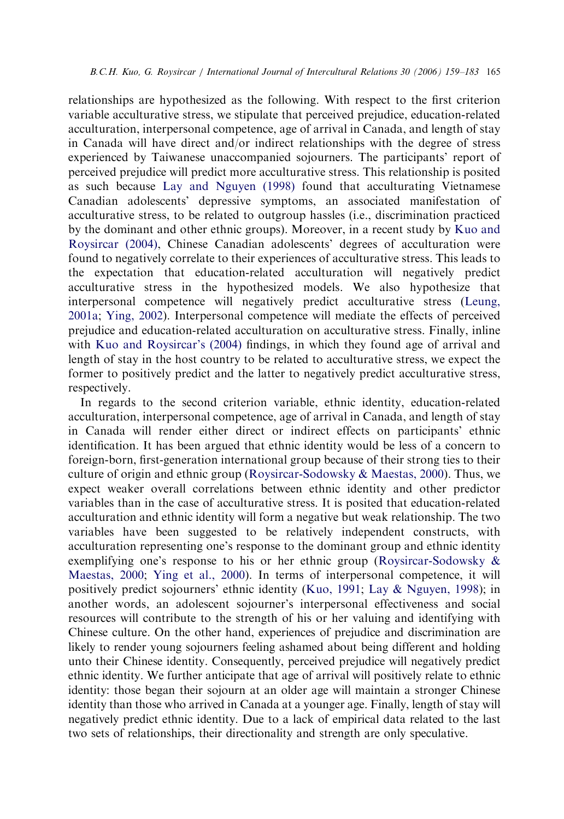relationships are hypothesized as the following. With respect to the first criterion variable acculturative stress, we stipulate that perceived prejudice, education-related acculturation, interpersonal competence, age of arrival in Canada, and length of stay in Canada will have direct and/or indirect relationships with the degree of stress experienced by Taiwanese unaccompanied sojourners. The participants' report of perceived prejudice will predict more acculturative stress. This relationship is posited as such because [Lay and Nguyen \(1998\)](#page-24-0) found that acculturating Vietnamese Canadian adolescents' depressive symptoms, an associated manifestation of acculturative stress, to be related to outgroup hassles (i.e., discrimination practiced by the dominant and other ethnic groups). Moreover, in a recent study by [Kuo and](#page-24-0) [Roysircar \(2004\),](#page-24-0) Chinese Canadian adolescents' degrees of acculturation were found to negatively correlate to their experiences of acculturative stress. This leads to the expectation that education-related acculturation will negatively predict acculturative stress in the hypothesized models. We also hypothesize that interpersonal competence will negatively predict acculturative stress ([Leung,](#page-24-0) [2001a;](#page-24-0) [Ying, 2002](#page-25-0)). Interpersonal competence will mediate the effects of perceived prejudice and education-related acculturation on acculturative stress. Finally, inline with [Kuo and Roysircar's \(2004\)](#page-24-0) findings, in which they found age of arrival and length of stay in the host country to be related to acculturative stress, we expect the former to positively predict and the latter to negatively predict acculturative stress, respectively.

In regards to the second criterion variable, ethnic identity, education-related acculturation, interpersonal competence, age of arrival in Canada, and length of stay in Canada will render either direct or indirect effects on participants' ethnic identification. It has been argued that ethnic identity would be less of a concern to foreign-born, first-generation international group because of their strong ties to their culture of origin and ethnic group [\(Roysircar-Sodowsky & Maestas, 2000](#page-24-0)). Thus, we expect weaker overall correlations between ethnic identity and other predictor variables than in the case of acculturative stress. It is posited that education-related acculturation and ethnic identity will form a negative but weak relationship. The two variables have been suggested to be relatively independent constructs, with acculturation representing one's response to the dominant group and ethnic identity exemplifying one's response to his or her ethnic group ([Roysircar-Sodowsky &](#page-24-0) [Maestas, 2000;](#page-24-0) [Ying et al., 2000](#page-25-0)). In terms of interpersonal competence, it will positively predict sojourners' ethnic identity [\(Kuo, 1991;](#page-24-0) [Lay](#page-24-0) & [Nguyen, 1998](#page-24-0)); in another words, an adolescent sojourner's interpersonal effectiveness and social resources will contribute to the strength of his or her valuing and identifying with Chinese culture. On the other hand, experiences of prejudice and discrimination are likely to render young sojourners feeling ashamed about being different and holding unto their Chinese identity. Consequently, perceived prejudice will negatively predict ethnic identity. We further anticipate that age of arrival will positively relate to ethnic identity: those began their sojourn at an older age will maintain a stronger Chinese identity than those who arrived in Canada at a younger age. Finally, length of stay will negatively predict ethnic identity. Due to a lack of empirical data related to the last two sets of relationships, their directionality and strength are only speculative.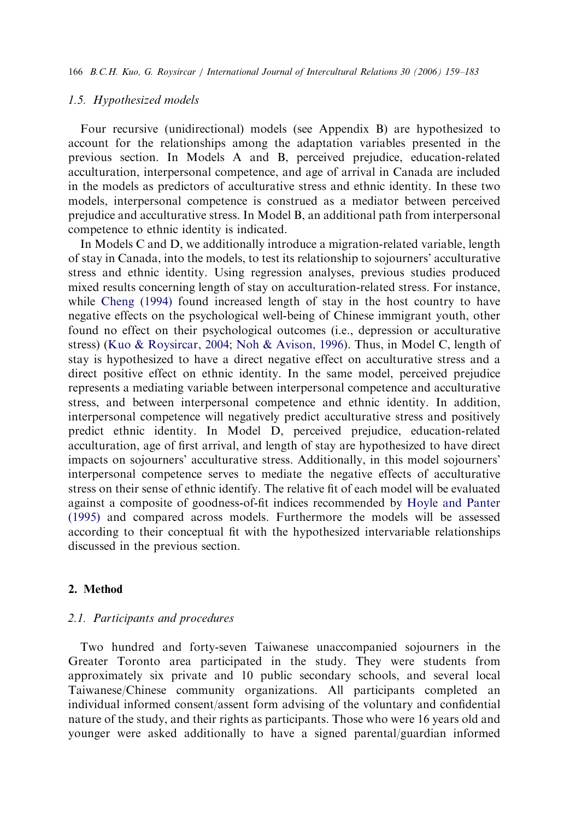166 B.C.H. Kuo, G. Roysircar / International Journal of Intercultural Relations 30 (2006) 159–183

#### 1.5. Hypothesized models

Four recursive (unidirectional) models (see Appendix B) are hypothesized to account for the relationships among the adaptation variables presented in the previous section. In Models A and B, perceived prejudice, education-related acculturation, interpersonal competence, and age of arrival in Canada are included in the models as predictors of acculturative stress and ethnic identity. In these two models, interpersonal competence is construed as a mediator between perceived prejudice and acculturative stress. In Model B, an additional path from interpersonal competence to ethnic identity is indicated.

In Models C and D, we additionally introduce a migration-related variable, length of stay in Canada, into the models, to test its relationship to sojourners' acculturative stress and ethnic identity. Using regression analyses, previous studies produced mixed results concerning length of stay on acculturation-related stress. For instance, while [Cheng \(1994\)](#page-23-0) found increased length of stay in the host country to have negative effects on the psychological well-being of Chinese immigrant youth, other found no effect on their psychological outcomes (i.e., depression or acculturative stress) ([Kuo & Roysircar, 2004](#page-24-0); [Noh](#page-24-0) [& Avison, 1996](#page-24-0)). Thus, in Model C, length of stay is hypothesized to have a direct negative effect on acculturative stress and a direct positive effect on ethnic identity. In the same model, perceived prejudice represents a mediating variable between interpersonal competence and acculturative stress, and between interpersonal competence and ethnic identity. In addition, interpersonal competence will negatively predict acculturative stress and positively predict ethnic identity. In Model D, perceived prejudice, education-related acculturation, age of first arrival, and length of stay are hypothesized to have direct impacts on sojourners' acculturative stress. Additionally, in this model sojourners' interpersonal competence serves to mediate the negative effects of acculturative stress on their sense of ethnic identify. The relative fit of each model will be evaluated against a composite of goodness-of-fit indices recommended by [Hoyle and Panter](#page-23-0) [\(1995\)](#page-23-0) and compared across models. Furthermore the models will be assessed according to their conceptual fit with the hypothesized intervariable relationships discussed in the previous section.

#### 2. Method

#### 2.1. Participants and procedures

Two hundred and forty-seven Taiwanese unaccompanied sojourners in the Greater Toronto area participated in the study. They were students from approximately six private and 10 public secondary schools, and several local Taiwanese/Chinese community organizations. All participants completed an individual informed consent/assent form advising of the voluntary and confidential nature of the study, and their rights as participants. Those who were 16 years old and younger were asked additionally to have a signed parental/guardian informed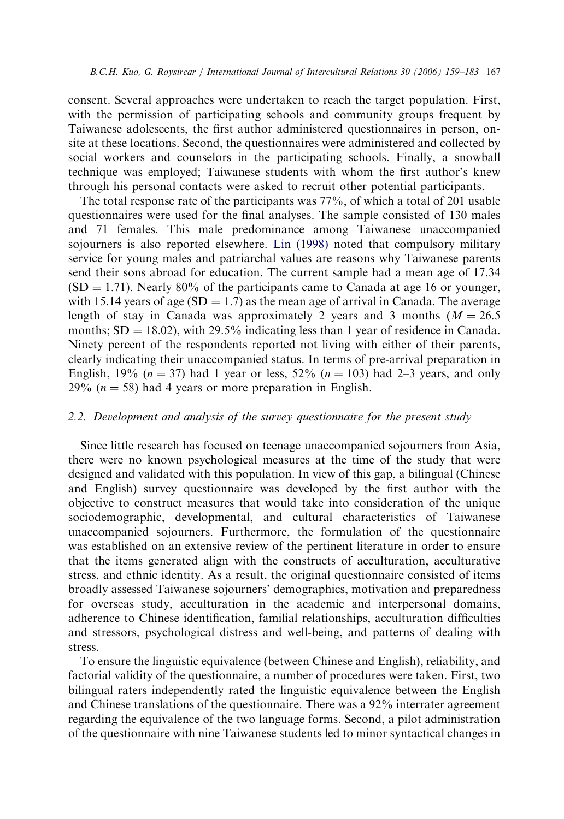consent. Several approaches were undertaken to reach the target population. First, with the permission of participating schools and community groups frequent by Taiwanese adolescents, the first author administered questionnaires in person, onsite at these locations. Second, the questionnaires were administered and collected by social workers and counselors in the participating schools. Finally, a snowball technique was employed; Taiwanese students with whom the first author's knew through his personal contacts were asked to recruit other potential participants.

The total response rate of the participants was 77%, of which a total of 201 usable questionnaires were used for the final analyses. The sample consisted of 130 males and 71 females. This male predominance among Taiwanese unaccompanied sojourners is also reported elsewhere. [Lin \(1998\)](#page-24-0) noted that compulsory military service for young males and patriarchal values are reasons why Taiwanese parents send their sons abroad for education. The current sample had a mean age of 17.34  $(SD = 1.71)$ . Nearly 80% of the participants came to Canada at age 16 or younger, with 15.14 years of age (SD  $= 1.7$ ) as the mean age of arrival in Canada. The average length of stay in Canada was approximately 2 years and 3 months ( $M = 26.5$ ) months;  $SD = 18.02$ , with 29.5% indicating less than 1 year of residence in Canada. Ninety percent of the respondents reported not living with either of their parents, clearly indicating their unaccompanied status. In terms of pre-arrival preparation in English, 19% ( $n = 37$ ) had 1 year or less, 52% ( $n = 103$ ) had 2–3 years, and only 29% ( $n = 58$ ) had 4 years or more preparation in English.

#### 2.2. Development and analysis of the survey questionnaire for the present study

Since little research has focused on teenage unaccompanied sojourners from Asia, there were no known psychological measures at the time of the study that were designed and validated with this population. In view of this gap, a bilingual (Chinese and English) survey questionnaire was developed by the first author with the objective to construct measures that would take into consideration of the unique sociodemographic, developmental, and cultural characteristics of Taiwanese unaccompanied sojourners. Furthermore, the formulation of the questionnaire was established on an extensive review of the pertinent literature in order to ensure that the items generated align with the constructs of acculturation, acculturative stress, and ethnic identity. As a result, the original questionnaire consisted of items broadly assessed Taiwanese sojourners' demographics, motivation and preparedness for overseas study, acculturation in the academic and interpersonal domains, adherence to Chinese identification, familial relationships, acculturation difficulties and stressors, psychological distress and well-being, and patterns of dealing with stress.

To ensure the linguistic equivalence (between Chinese and English), reliability, and factorial validity of the questionnaire, a number of procedures were taken. First, two bilingual raters independently rated the linguistic equivalence between the English and Chinese translations of the questionnaire. There was a 92% interrater agreement regarding the equivalence of the two language forms. Second, a pilot administration of the questionnaire with nine Taiwanese students led to minor syntactical changes in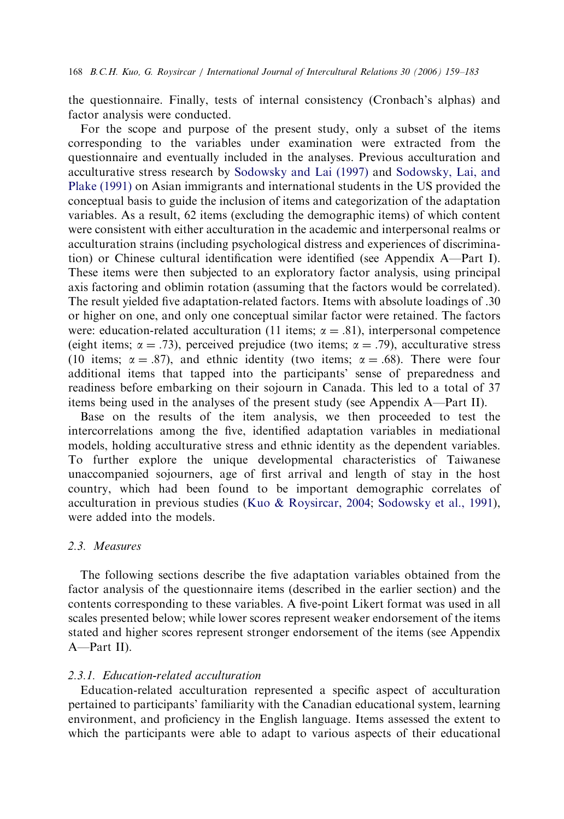the questionnaire. Finally, tests of internal consistency (Cronbach's alphas) and factor analysis were conducted.

For the scope and purpose of the present study, only a subset of the items corresponding to the variables under examination were extracted from the questionnaire and eventually included in the analyses. Previous acculturation and acculturative stress research by [Sodowsky and Lai \(1997\)](#page-25-0) and [Sodowsky, Lai, and](#page-25-0) [Plake \(1991\)](#page-25-0) on Asian immigrants and international students in the US provided the conceptual basis to guide the inclusion of items and categorization of the adaptation variables. As a result, 62 items (excluding the demographic items) of which content were consistent with either acculturation in the academic and interpersonal realms or acculturation strains (including psychological distress and experiences of discrimination) or Chinese cultural identification were identified (see Appendix A—Part I). These items were then subjected to an exploratory factor analysis, using principal axis factoring and oblimin rotation (assuming that the factors would be correlated). The result yielded five adaptation-related factors. Items with absolute loadings of .30 or higher on one, and only one conceptual similar factor were retained. The factors were: education-related acculturation (11 items;  $\alpha = .81$ ), interpersonal competence (eight items;  $\alpha = .73$ ), perceived prejudice (two items;  $\alpha = .79$ ), acculturative stress (10 items;  $\alpha = .87$ ), and ethnic identity (two items;  $\alpha = .68$ ). There were four additional items that tapped into the participants' sense of preparedness and readiness before embarking on their sojourn in Canada. This led to a total of 37 items being used in the analyses of the present study (see Appendix A—Part II).

Base on the results of the item analysis, we then proceeded to test the intercorrelations among the five, identified adaptation variables in mediational models, holding acculturative stress and ethnic identity as the dependent variables. To further explore the unique developmental characteristics of Taiwanese unaccompanied sojourners, age of first arrival and length of stay in the host country, which had been found to be important demographic correlates of acculturation in previous studies [\(Kuo & Roysircar, 2004;](#page-24-0) [Sodowsky et al., 1991](#page-25-0)), were added into the models.

### 2.3. Measures

The following sections describe the five adaptation variables obtained from the factor analysis of the questionnaire items (described in the earlier section) and the contents corresponding to these variables. A five-point Likert format was used in all scales presented below; while lower scores represent weaker endorsement of the items stated and higher scores represent stronger endorsement of the items (see Appendix A—Part II).

## 2.3.1. Education-related acculturation

Education-related acculturation represented a specific aspect of acculturation pertained to participants' familiarity with the Canadian educational system, learning environment, and proficiency in the English language. Items assessed the extent to which the participants were able to adapt to various aspects of their educational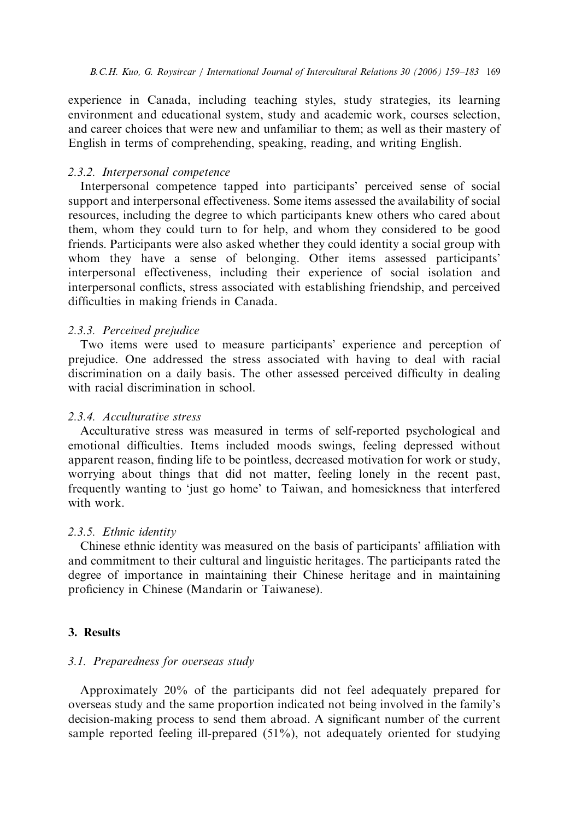experience in Canada, including teaching styles, study strategies, its learning environment and educational system, study and academic work, courses selection, and career choices that were new and unfamiliar to them; as well as their mastery of English in terms of comprehending, speaking, reading, and writing English.

#### 2.3.2. Interpersonal competence

Interpersonal competence tapped into participants' perceived sense of social support and interpersonal effectiveness. Some items assessed the availability of social resources, including the degree to which participants knew others who cared about them, whom they could turn to for help, and whom they considered to be good friends. Participants were also asked whether they could identity a social group with whom they have a sense of belonging. Other items assessed participants' interpersonal effectiveness, including their experience of social isolation and interpersonal conflicts, stress associated with establishing friendship, and perceived difficulties in making friends in Canada.

#### 2.3.3. Perceived prejudice

Two items were used to measure participants' experience and perception of prejudice. One addressed the stress associated with having to deal with racial discrimination on a daily basis. The other assessed perceived difficulty in dealing with racial discrimination in school.

# 2.3.4. Acculturative stress

Acculturative stress was measured in terms of self-reported psychological and emotional difficulties. Items included moods swings, feeling depressed without apparent reason, finding life to be pointless, decreased motivation for work or study, worrying about things that did not matter, feeling lonely in the recent past, frequently wanting to 'just go home' to Taiwan, and homesickness that interfered with work.

#### 2.3.5. Ethnic identity

Chinese ethnic identity was measured on the basis of participants' affiliation with and commitment to their cultural and linguistic heritages. The participants rated the degree of importance in maintaining their Chinese heritage and in maintaining proficiency in Chinese (Mandarin or Taiwanese).

## 3. Results

#### 3.1. Preparedness for overseas study

Approximately 20% of the participants did not feel adequately prepared for overseas study and the same proportion indicated not being involved in the family's decision-making process to send them abroad. A significant number of the current sample reported feeling ill-prepared (51%), not adequately oriented for studying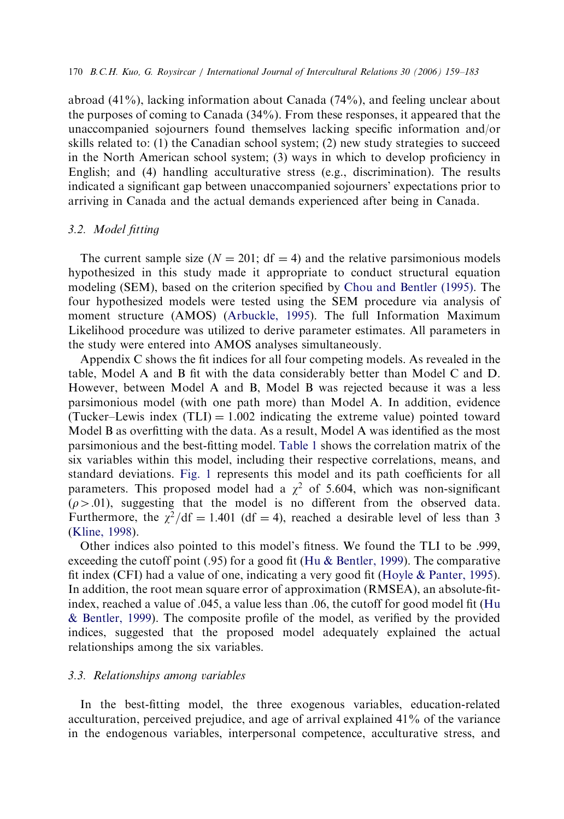abroad (41%), lacking information about Canada (74%), and feeling unclear about the purposes of coming to Canada (34%). From these responses, it appeared that the unaccompanied sojourners found themselves lacking specific information and/or skills related to: (1) the Canadian school system; (2) new study strategies to succeed in the North American school system; (3) ways in which to develop proficiency in English; and (4) handling acculturative stress (e.g., discrimination). The results indicated a significant gap between unaccompanied sojourners' expectations prior to arriving in Canada and the actual demands experienced after being in Canada.

#### 3.2. Model fitting

The current sample size ( $N = 201$ ; df = 4) and the relative parsimonious models hypothesized in this study made it appropriate to conduct structural equation modeling (SEM), based on the criterion specified by [Chou and Bentler \(1995\).](#page-23-0) The four hypothesized models were tested using the SEM procedure via analysis of moment structure (AMOS) ([Arbuckle, 1995](#page-23-0)). The full Information Maximum Likelihood procedure was utilized to derive parameter estimates. All parameters in the study were entered into AMOS analyses simultaneously.

Appendix C shows the fit indices for all four competing models. As revealed in the table, Model A and B fit with the data considerably better than Model C and D. However, between Model A and B, Model B was rejected because it was a less parsimonious model (with one path more) than Model A. In addition, evidence (Tucker–Lewis index  $(TLI) = 1.002$  indicating the extreme value) pointed toward Model B as overfitting with the data. As a result, Model A was identified as the most parsimonious and the best-fitting model. [Table 1](#page-13-0) shows the correlation matrix of the six variables within this model, including their respective correlations, means, and standard deviations. [Fig. 1](#page-13-0) represents this model and its path coefficients for all parameters. This proposed model had a  $\chi^2$  of 5.604, which was non-significant  $(\rho > .01)$ , suggesting that the model is no different from the observed data. Furthermore, the  $\chi^2/df = 1.401$  (df = 4), reached a desirable level of less than 3 [\(Kline, 1998\)](#page-24-0).

Other indices also pointed to this model's fitness. We found the TLI to be .999, exceeding the cutoff point (.95) for a good fit [\(Hu & Bentler, 1999\)](#page-23-0). The comparative fit index (CFI) had a value of one, indicating a very good fit [\(Hoyle & Panter, 1995](#page-23-0)). In addition, the root mean square error of approximation (RMSEA), an absolute-fitindex, reached a value of .045, a value less than .06, the cutoff for good model fit ([Hu](#page-23-0) [& Bentler, 1999\)](#page-23-0). The composite profile of the model, as verified by the provided indices, suggested that the proposed model adequately explained the actual relationships among the six variables.

#### 3.3. Relationships among variables

In the best-fitting model, the three exogenous variables, education-related acculturation, perceived prejudice, and age of arrival explained 41% of the variance in the endogenous variables, interpersonal competence, acculturative stress, and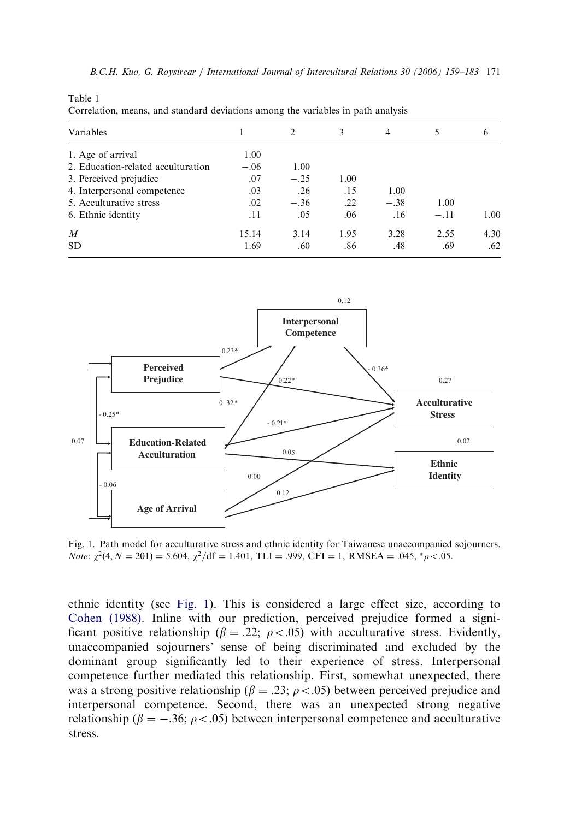| Variables                          |        | $\mathfrak{D}$ | 3    | $\overline{4}$ |        | 6    |
|------------------------------------|--------|----------------|------|----------------|--------|------|
| 1. Age of arrival                  | 1.00   |                |      |                |        |      |
| 2. Education-related acculturation | $-.06$ | 1.00           |      |                |        |      |
| 3. Perceived prejudice             | .07    | $-.25$         | 1.00 |                |        |      |
| 4. Interpersonal competence        | .03    | .26            | .15  | 1.00           |        |      |
| 5. Acculturative stress            | .02    | $-.36$         | .22  | $-.38$         | 1.00   |      |
| 6. Ethnic identity                 | .11    | .05            | .06  | .16            | $-.11$ | 1.00 |
| $\boldsymbol{M}$                   | 15.14  | 3.14           | 1.95 | 3.28           | 2.55   | 4.30 |
| <b>SD</b>                          | 1.69   | .60            | .86  | .48            | .69    | .62  |

Correlation, means, and standard deviations among the variables in path analysis

<span id="page-13-0"></span>Table 1



Fig. 1. Path model for acculturative stress and ethnic identity for Taiwanese unaccompanied sojourners. Note:  $\chi^2(4, N = 201) = 5.604$ ,  $\chi^2/df = 1.401$ , TLI = .999, CFI = 1, RMSEA = .045,  $\gamma \rho < .05$ .

ethnic identity (see Fig. 1). This is considered a large effect size, according to [Cohen \(1988\)](#page-23-0). Inline with our prediction, perceived prejudice formed a significant positive relationship ( $\beta = .22$ ;  $\rho < .05$ ) with acculturative stress. Evidently, unaccompanied sojourners' sense of being discriminated and excluded by the dominant group significantly led to their experience of stress. Interpersonal competence further mediated this relationship. First, somewhat unexpected, there was a strong positive relationship ( $\beta = .23$ ;  $\rho < .05$ ) between perceived prejudice and interpersonal competence. Second, there was an unexpected strong negative relationship ( $\beta = -.36$ ;  $\rho < .05$ ) between interpersonal competence and acculturative stress.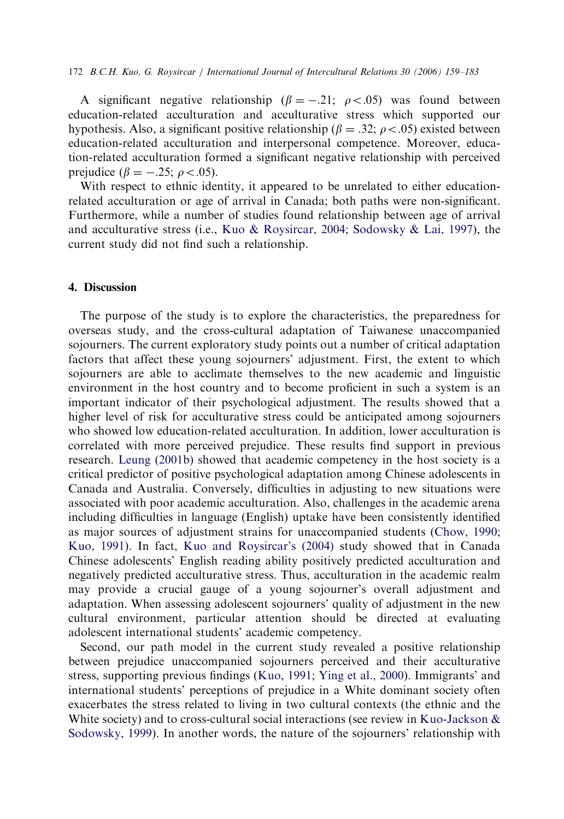A significant negative relationship  $(\beta = -.21; \rho < .05)$  was found between education-related acculturation and acculturative stress which supported our hypothesis. Also, a significant positive relationship ( $\beta = .32$ ;  $\rho < .05$ ) existed between education-related acculturation and interpersonal competence. Moreover, education-related acculturation formed a significant negative relationship with perceived prejudice ( $\beta = -.25$ ;  $\rho < .05$ ).

With respect to ethnic identity, it appeared to be unrelated to either educationrelated acculturation or age of arrival in Canada; both paths were non-significant. Furthermore, while a number of studies found relationship between age of arrival and acculturative stress (i.e., [Kuo](#page-24-0) & [Roysircar, 2004;](#page-24-0) [Sodowsky](#page-25-0) & [Lai, 1997](#page-25-0)), the current study did not find such a relationship.

#### 4. Discussion

The purpose of the study is to explore the characteristics, the preparedness for overseas study, and the cross-cultural adaptation of Taiwanese unaccompanied sojourners. The current exploratory study points out a number of critical adaptation factors that affect these young sojourners' adjustment. First, the extent to which sojourners are able to acclimate themselves to the new academic and linguistic environment in the host country and to become proficient in such a system is an important indicator of their psychological adjustment. The results showed that a higher level of risk for acculturative stress could be anticipated among sojourners who showed low education-related acculturation. In addition, lower acculturation is correlated with more perceived prejudice. These results find support in previous research. [Leung \(2001b\)](#page-24-0) showed that academic competency in the host society is a critical predictor of positive psychological adaptation among Chinese adolescents in Canada and Australia. Conversely, difficulties in adjusting to new situations were associated with poor academic acculturation. Also, challenges in the academic arena including difficulties in language (English) uptake have been consistently identified as major sources of adjustment strains for unaccompanied students ([Chow, 1990;](#page-23-0) [Kuo, 1991\)](#page-24-0). In fact, [Kuo and Roysircar's \(2004\)](#page-24-0) study showed that in Canada Chinese adolescents' English reading ability positively predicted acculturation and negatively predicted acculturative stress. Thus, acculturation in the academic realm may provide a crucial gauge of a young sojourner's overall adjustment and adaptation. When assessing adolescent sojourners' quality of adjustment in the new cultural environment, particular attention should be directed at evaluating adolescent international students' academic competency.

Second, our path model in the current study revealed a positive relationship between prejudice unaccompanied sojourners perceived and their acculturative stress, supporting previous findings ([Kuo, 1991;](#page-24-0) [Ying et al., 2000](#page-25-0)). Immigrants' and international students' perceptions of prejudice in a White dominant society often exacerbates the stress related to living in two cultural contexts (the ethnic and the White society) and to cross-cultural social interactions (see review in Kuo-Jackson  $\&$ [Sodowsky, 1999](#page-24-0)). In another words, the nature of the sojourners' relationship with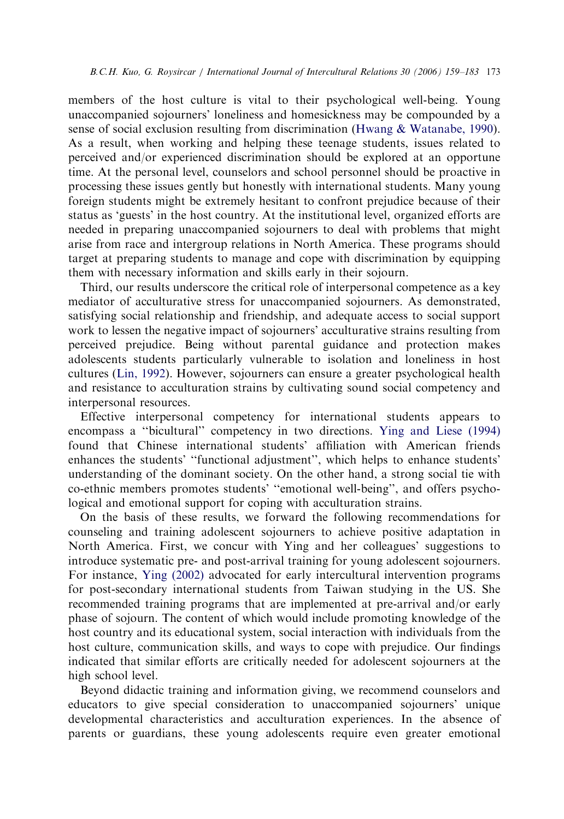members of the host culture is vital to their psychological well-being. Young unaccompanied sojourners' loneliness and homesickness may be compounded by a sense of social exclusion resulting from discrimination [\(Hwang](#page-23-0) & [Watanabe, 1990](#page-23-0)). As a result, when working and helping these teenage students, issues related to perceived and/or experienced discrimination should be explored at an opportune time. At the personal level, counselors and school personnel should be proactive in processing these issues gently but honestly with international students. Many young foreign students might be extremely hesitant to confront prejudice because of their status as 'guests' in the host country. At the institutional level, organized efforts are needed in preparing unaccompanied sojourners to deal with problems that might arise from race and intergroup relations in North America. These programs should target at preparing students to manage and cope with discrimination by equipping them with necessary information and skills early in their sojourn.

Third, our results underscore the critical role of interpersonal competence as a key mediator of acculturative stress for unaccompanied sojourners. As demonstrated, satisfying social relationship and friendship, and adequate access to social support work to lessen the negative impact of sojourners' acculturative strains resulting from perceived prejudice. Being without parental guidance and protection makes adolescents students particularly vulnerable to isolation and loneliness in host cultures ([Lin, 1992](#page-24-0)). However, sojourners can ensure a greater psychological health and resistance to acculturation strains by cultivating sound social competency and interpersonal resources.

Effective interpersonal competency for international students appears to encompass a ''bicultural'' competency in two directions. [Ying and Liese \(1994\)](#page-25-0) found that Chinese international students' affiliation with American friends enhances the students' ''functional adjustment'', which helps to enhance students' understanding of the dominant society. On the other hand, a strong social tie with co-ethnic members promotes students' ''emotional well-being'', and offers psychological and emotional support for coping with acculturation strains.

On the basis of these results, we forward the following recommendations for counseling and training adolescent sojourners to achieve positive adaptation in North America. First, we concur with Ying and her colleagues' suggestions to introduce systematic pre- and post-arrival training for young adolescent sojourners. For instance, [Ying \(2002\)](#page-25-0) advocated for early intercultural intervention programs for post-secondary international students from Taiwan studying in the US. She recommended training programs that are implemented at pre-arrival and/or early phase of sojourn. The content of which would include promoting knowledge of the host country and its educational system, social interaction with individuals from the host culture, communication skills, and ways to cope with prejudice. Our findings indicated that similar efforts are critically needed for adolescent sojourners at the high school level.

Beyond didactic training and information giving, we recommend counselors and educators to give special consideration to unaccompanied sojourners' unique developmental characteristics and acculturation experiences. In the absence of parents or guardians, these young adolescents require even greater emotional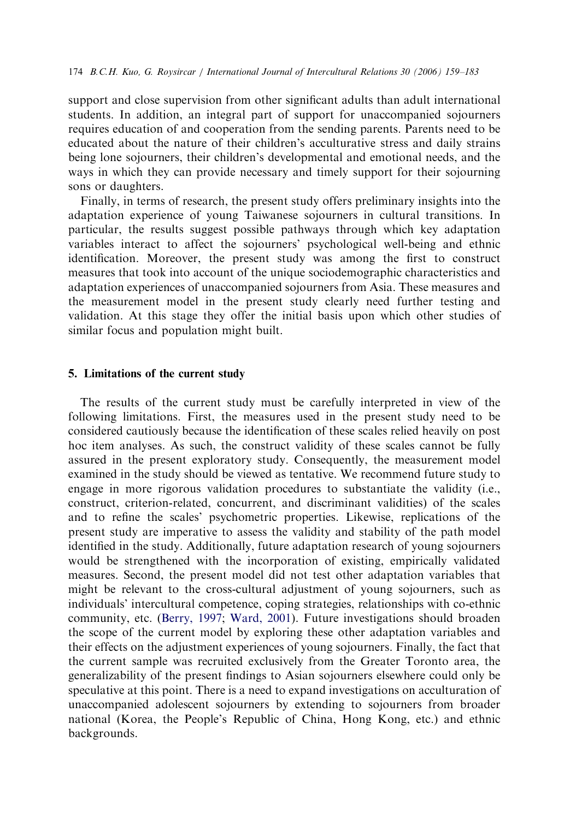support and close supervision from other significant adults than adult international students. In addition, an integral part of support for unaccompanied sojourners requires education of and cooperation from the sending parents. Parents need to be educated about the nature of their children's acculturative stress and daily strains being lone sojourners, their children's developmental and emotional needs, and the ways in which they can provide necessary and timely support for their sojourning sons or daughters.

Finally, in terms of research, the present study offers preliminary insights into the adaptation experience of young Taiwanese sojourners in cultural transitions. In particular, the results suggest possible pathways through which key adaptation variables interact to affect the sojourners' psychological well-being and ethnic identification. Moreover, the present study was among the first to construct measures that took into account of the unique sociodemographic characteristics and adaptation experiences of unaccompanied sojourners from Asia. These measures and the measurement model in the present study clearly need further testing and validation. At this stage they offer the initial basis upon which other studies of similar focus and population might built.

#### 5. Limitations of the current study

The results of the current study must be carefully interpreted in view of the following limitations. First, the measures used in the present study need to be considered cautiously because the identification of these scales relied heavily on post hoc item analyses. As such, the construct validity of these scales cannot be fully assured in the present exploratory study. Consequently, the measurement model examined in the study should be viewed as tentative. We recommend future study to engage in more rigorous validation procedures to substantiate the validity (i.e., construct, criterion-related, concurrent, and discriminant validities) of the scales and to refine the scales' psychometric properties. Likewise, replications of the present study are imperative to assess the validity and stability of the path model identified in the study. Additionally, future adaptation research of young sojourners would be strengthened with the incorporation of existing, empirically validated measures. Second, the present model did not test other adaptation variables that might be relevant to the cross-cultural adjustment of young sojourners, such as individuals' intercultural competence, coping strategies, relationships with co-ethnic community, etc. ([Berry, 1997](#page-23-0); [Ward, 2001\)](#page-25-0). Future investigations should broaden the scope of the current model by exploring these other adaptation variables and their effects on the adjustment experiences of young sojourners. Finally, the fact that the current sample was recruited exclusively from the Greater Toronto area, the generalizability of the present findings to Asian sojourners elsewhere could only be speculative at this point. There is a need to expand investigations on acculturation of unaccompanied adolescent sojourners by extending to sojourners from broader national (Korea, the People's Republic of China, Hong Kong, etc.) and ethnic backgrounds.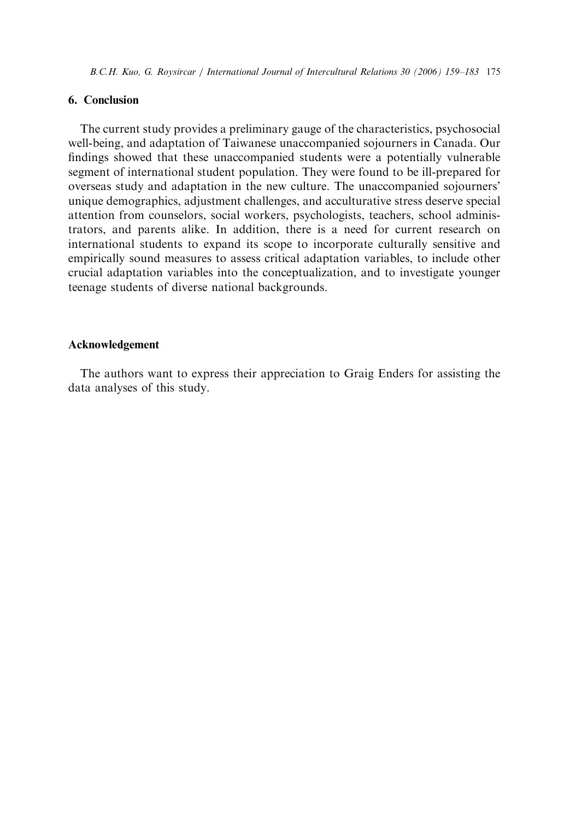B.C.H. Kuo, G. Roysircar / International Journal of Intercultural Relations 30 (2006) 159–183 175

## 6. Conclusion

The current study provides a preliminary gauge of the characteristics, psychosocial well-being, and adaptation of Taiwanese unaccompanied sojourners in Canada. Our findings showed that these unaccompanied students were a potentially vulnerable segment of international student population. They were found to be ill-prepared for overseas study and adaptation in the new culture. The unaccompanied sojourners' unique demographics, adjustment challenges, and acculturative stress deserve special attention from counselors, social workers, psychologists, teachers, school administrators, and parents alike. In addition, there is a need for current research on international students to expand its scope to incorporate culturally sensitive and empirically sound measures to assess critical adaptation variables, to include other crucial adaptation variables into the conceptualization, and to investigate younger teenage students of diverse national backgrounds.

#### Acknowledgement

The authors want to express their appreciation to Graig Enders for assisting the data analyses of this study.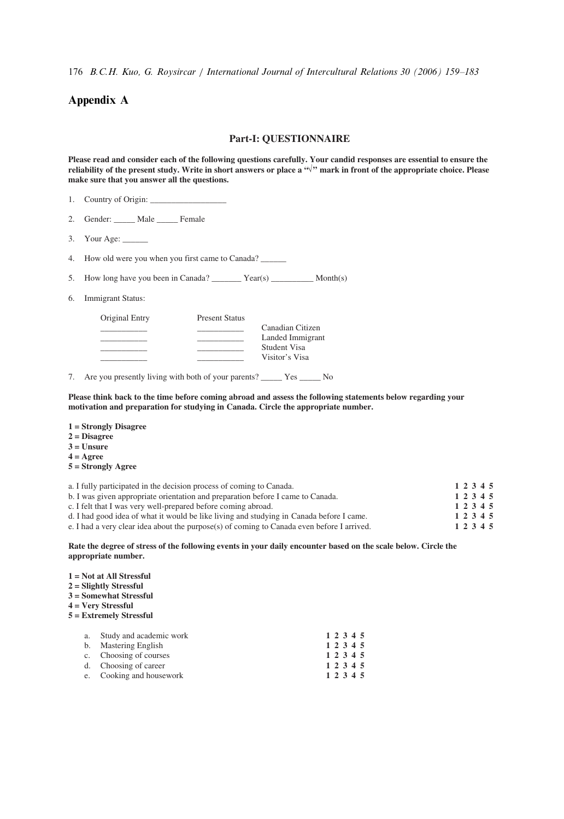176 B.C.H. Kuo, G. Roysircar / International Journal of Intercultural Relations 30 (2006) 159–183

## Appendix A

#### **Part-I: QUESTIONNAIRE**

**Please read and consider each of the following questions carefully. Your candid responses are essential to ensure the**  reliability of the present study. Write in short answers or place a "√" mark in front of the appropriate choice. Please **make sure that you answer all the questions.**

| 1. Country of Origin:                                                                   |
|-----------------------------------------------------------------------------------------|
| 2. Gender: Male Female                                                                  |
|                                                                                         |
| 4. How old were you when you first came to Canada?                                      |
| 5. How long have you been in Canada? Year(s) Month(s)                                   |
| 6. Immigrant Status:                                                                    |
| Original Entry<br><b>Present Status</b><br>Canadian Citizen                             |
| Landed Immigrant<br>and the control of the control of<br>Student Visa<br>Visitor's Visa |

7. Are you presently living with both of your parents? Yes No

**Please think back to the time before coming abroad and assess the following statements below regarding your motivation and preparation for studying in Canada. Circle the appropriate number.** 

- **1 = Strongly Disagree**
- **2 = Disagree**
- **3 = Unsure**
- **4 = Agree**
- **5 = Strongly Agree**

| a. I fully participated in the decision process of coming to Canada.                       | 1 2 3 4 5 |
|--------------------------------------------------------------------------------------------|-----------|
| b. I was given appropriate orientation and preparation before I came to Canada.            | 1 2 3 4 5 |
| c. I felt that I was very well-prepared before coming abroad.                              | 1 2 3 4 5 |
| d. I had good idea of what it would be like living and studying in Canada before I came.   | 1 2 3 4 5 |
| e. I had a very clear idea about the purpose(s) of coming to Canada even before I arrived. | 1 2 3 4 5 |

**Rate the degree of stress of the following events in your daily encounter based on the scale below. Circle the appropriate number.** 

- **1 = Not at All Stressful**
- **2 = Slightly Stressful**
- **3 = Somewhat Stressful**
- **4 = Very Stressful**
- **5 = Extremely Stressful**

| a. Study and academic work | 1 2 3 4 5 |
|----------------------------|-----------|
| b. Mastering English       | 1 2 3 4 5 |
| c. Choosing of courses     | 1 2 3 4 5 |
| d. Choosing of career      | 1 2 3 4 5 |
| e. Cooking and housework   | 1 2 3 4 5 |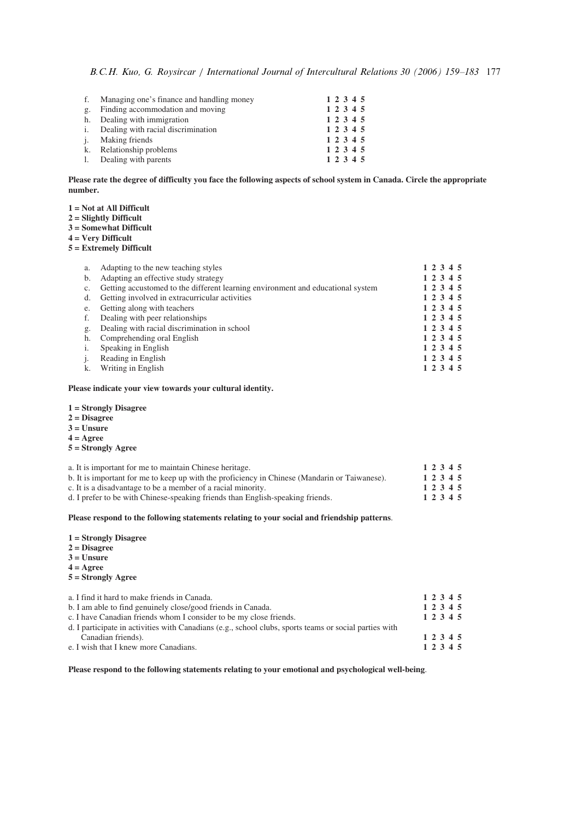B.C.H. Kuo, G. Roysircar / International Journal of Intercultural Relations 30 (2006) 159–183 177

|             | f. Managing one's finance and handling money | 1 2 3 4 5 |
|-------------|----------------------------------------------|-----------|
| $g_{\perp}$ | Finding accommodation and moving             | 1 2 3 4 5 |
|             | h. Dealing with immigration                  | 1 2 3 4 5 |
|             | <i>i.</i> Dealing with racial discrimination | 1 2 3 4 5 |
|             | <i>i.</i> Making friends                     | 1 2 3 4 5 |
|             | k. Relationship problems                     | 1 2 3 4 5 |
|             | 1. Dealing with parents                      | 1 2 3 4 5 |

**Please rate the degree of difficulty you face the following aspects of school system in Canada. Circle the appropriate number.** 

- **1 = Not at All Difficult**
- **2 = Slightly Difficult**
- **3 = Somewhat Difficult**

**4 = Very Difficult** 

**5 = Extremely Difficult** 

| a. | Adapting to the new teaching styles                                             | 1 2 3 4 5 |
|----|---------------------------------------------------------------------------------|-----------|
| b. | Adapting an effective study strategy                                            | 1 2 3 4 5 |
|    | Getting accustomed to the different learning environment and educational system | 1 2 3 4 5 |
| d. | Getting involved in extracurricular activities                                  | 1 2 3 4 5 |
| e. | Getting along with teachers                                                     | 1 2 3 4 5 |
|    | Dealing with peer relationships                                                 | 1 2 3 4 5 |
| g. | Dealing with racial discrimination in school                                    | 1 2 3 4 5 |
| h. | Comprehending oral English                                                      | 1 2 3 4 5 |
|    | Speaking in English                                                             | 1 2 3 4 5 |
|    | Reading in English                                                              | 1 2 3 4 5 |
|    | Writing in English                                                              | 1 2 3 4 5 |

**Please indicate your view towards your cultural identity.** 

- **1 = Strongly Disagree**
- **2 = Disagree**
- **3 = Unsure**
- **4 = Agree**
- **5 = Strongly Agree**

| a. It is important for me to maintain Chinese heritage.                                       | 1 2 3 4 5 |
|-----------------------------------------------------------------------------------------------|-----------|
| b. It is important for me to keep up with the proficiency in Chinese (Mandarin or Taiwanese). | 1 2 3 4 5 |
| c. It is a disadvantage to be a member of a racial minority.                                  | 1 2 3 4 5 |
| d. I prefer to be with Chinese-speaking friends than English-speaking friends.                | 1 2 3 4 5 |

#### **Please respond to the following statements relating to your social and friendship patterns**.

- **1 = Strongly Disagree**
- **2 = Disagree**
- $3 =$ **Unsure**
- **4 = Agree**
- **5 = Strongly Agree**

| a. I find it hard to make friends in Canada.                                                           | 1 2 3 4 5 |  |
|--------------------------------------------------------------------------------------------------------|-----------|--|
| b. I am able to find genuinely close/good friends in Canada.                                           | 1 2 3 4 5 |  |
| c. I have Canadian friends whom I consider to be my close friends.                                     |           |  |
| d. I participate in activities with Canadians (e.g., school clubs, sports teams or social parties with |           |  |
| Canadian friends).                                                                                     | 1 2 3 4 5 |  |
| e. I wish that I knew more Canadians.                                                                  | 1 2 3 4 5 |  |

**Please respond to the following statements relating to your emotional and psychological well-being**.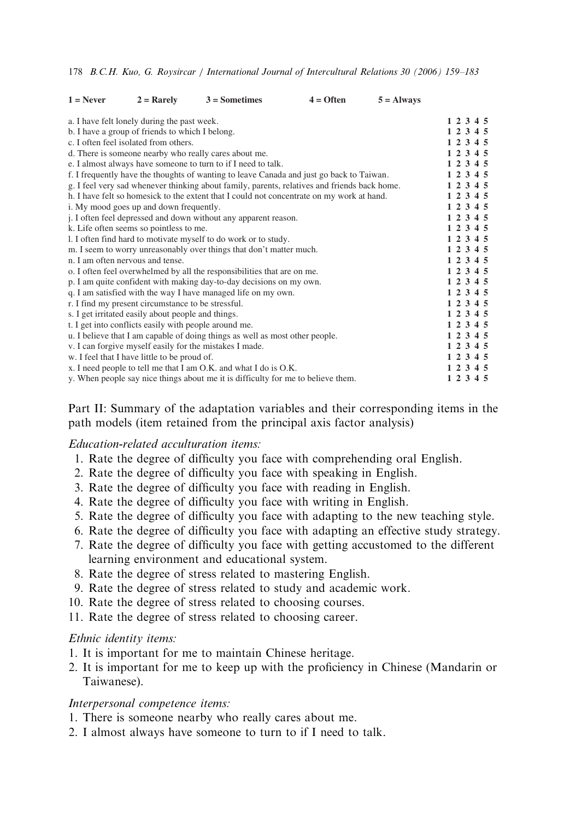178 B.C.H. Kuo, G. Roysircar / International Journal of Intercultural Relations 30 (2006) 159–183

| $1 =$ Never | $2 =$ Rarely                                          | $3 =$ Sometimes                                                                              | $4 =$ Often | $5 =$ Always |           |  |  |
|-------------|-------------------------------------------------------|----------------------------------------------------------------------------------------------|-------------|--------------|-----------|--|--|
|             | a. I have felt lonely during the past week.           |                                                                                              |             |              | 1 2 3 4 5 |  |  |
|             | b. I have a group of friends to which I belong.       |                                                                                              |             |              | 1 2 3 4 5 |  |  |
|             | c. I often feel isolated from others.                 |                                                                                              |             |              | 1 2 3 4 5 |  |  |
|             |                                                       | d. There is someone nearby who really cares about me.                                        |             |              | 1 2 3 4 5 |  |  |
|             |                                                       | e. I almost always have someone to turn to if I need to talk.                                |             |              | 1 2 3 4 5 |  |  |
|             |                                                       | f. I frequently have the thoughts of wanting to leave Canada and just go back to Taiwan.     |             |              | 1 2 3 4 5 |  |  |
|             |                                                       | g. I feel very sad whenever thinking about family, parents, relatives and friends back home. |             |              | 1 2 3 4 5 |  |  |
|             |                                                       | h. I have felt so homesick to the extent that I could not concentrate on my work at hand.    |             |              | 1 2 3 4 5 |  |  |
|             | i. My mood goes up and down frequently.               |                                                                                              |             |              | 1 2 3 4 5 |  |  |
|             |                                                       | j. I often feel depressed and down without any apparent reason.                              |             |              | 1 2 3 4 5 |  |  |
|             | k. Life often seems so pointless to me.               |                                                                                              |             |              | 1 2 3 4 5 |  |  |
|             |                                                       | 1. I often find hard to motivate myself to do work or to study.                              |             |              | 1 2 3 4 5 |  |  |
|             |                                                       | m. I seem to worry unreasonably over things that don't matter much.                          |             |              | 1 2 3 4 5 |  |  |
|             | n. I am often nervous and tense.                      |                                                                                              |             |              | 1 2 3 4 5 |  |  |
|             |                                                       | o. I often feel overwhelmed by all the responsibilities that are on me.                      |             |              | 1 2 3 4 5 |  |  |
|             |                                                       | p. I am quite confident with making day-to-day decisions on my own.                          |             |              | 1 2 3 4 5 |  |  |
|             |                                                       | q. I am satisfied with the way I have managed life on my own.                                |             |              | 1 2 3 4 5 |  |  |
|             | r. I find my present circumstance to be stressful.    |                                                                                              |             |              | 1 2 3 4 5 |  |  |
|             | s. I get irritated easily about people and things.    |                                                                                              |             |              | 1 2 3 4 5 |  |  |
|             | t. I get into conflicts easily with people around me. |                                                                                              |             |              | 1 2 3 4 5 |  |  |
|             |                                                       | u. I believe that I am capable of doing things as well as most other people.                 |             |              | 1 2 3 4 5 |  |  |
|             |                                                       | v. I can forgive myself easily for the mistakes I made.                                      |             |              | 1 2 3 4 5 |  |  |
|             | w. I feel that I have little to be proud of.          |                                                                                              |             |              | 1 2 3 4 5 |  |  |
|             |                                                       | x. I need people to tell me that I am O.K. and what I do is O.K.                             |             |              | 1 2 3 4 5 |  |  |
|             |                                                       | y. When people say nice things about me it is difficulty for me to believe them.             |             |              | 1 2 3 4 5 |  |  |

Part II: Summary of the adaptation variables and their corresponding items in the path models (item retained from the principal axis factor analysis)

## Education-related acculturation items:

- 1. Rate the degree of difficulty you face with comprehending oral English.
- 2. Rate the degree of difficulty you face with speaking in English.
- 3. Rate the degree of difficulty you face with reading in English.
- 4. Rate the degree of difficulty you face with writing in English.
- 5. Rate the degree of difficulty you face with adapting to the new teaching style.
- 6. Rate the degree of difficulty you face with adapting an effective study strategy.
- 7. Rate the degree of difficulty you face with getting accustomed to the different learning environment and educational system.
- 8. Rate the degree of stress related to mastering English.
- 9. Rate the degree of stress related to study and academic work.
- 10. Rate the degree of stress related to choosing courses.
- 11. Rate the degree of stress related to choosing career.

#### Ethnic identity items:

- 1. It is important for me to maintain Chinese heritage.
- 2. It is important for me to keep up with the proficiency in Chinese (Mandarin or Taiwanese).

#### Interpersonal competence items:

- 1. There is someone nearby who really cares about me.
- 2. I almost always have someone to turn to if I need to talk.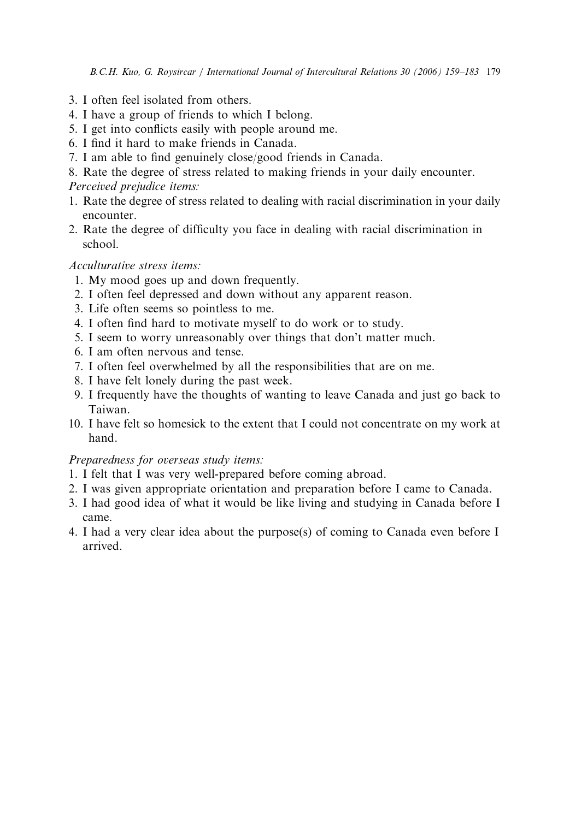B.C.H. Kuo, G. Roysircar / International Journal of Intercultural Relations 30 (2006) 159–183 179

- 3. I often feel isolated from others.
- 4. I have a group of friends to which I belong.
- 5. I get into conflicts easily with people around me.
- 6. I find it hard to make friends in Canada.
- 7. I am able to find genuinely close/good friends in Canada.
- 8. Rate the degree of stress related to making friends in your daily encounter.

Perceived prejudice items:

- 1. Rate the degree of stress related to dealing with racial discrimination in your daily encounter.
- 2. Rate the degree of difficulty you face in dealing with racial discrimination in school.

# Acculturative stress items:

- 1. My mood goes up and down frequently.
- 2. I often feel depressed and down without any apparent reason.
- 3. Life often seems so pointless to me.
- 4. I often find hard to motivate myself to do work or to study.
- 5. I seem to worry unreasonably over things that don't matter much.
- 6. I am often nervous and tense.
- 7. I often feel overwhelmed by all the responsibilities that are on me.
- 8. I have felt lonely during the past week.
- 9. I frequently have the thoughts of wanting to leave Canada and just go back to Taiwan.
- 10. I have felt so homesick to the extent that I could not concentrate on my work at hand.

# Preparedness for overseas study items:

- 1. I felt that I was very well-prepared before coming abroad.
- 2. I was given appropriate orientation and preparation before I came to Canada.
- 3. I had good idea of what it would be like living and studying in Canada before I came.
- 4. I had a very clear idea about the purpose(s) of coming to Canada even before I arrived.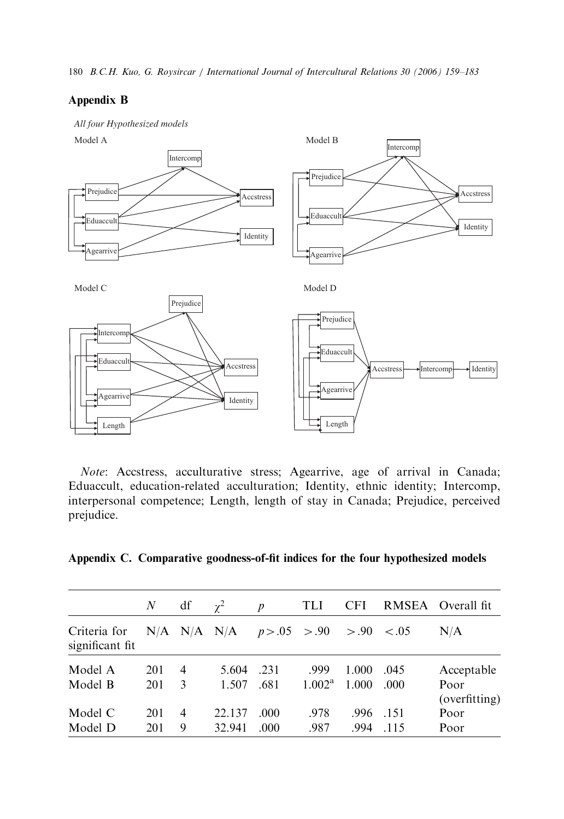180 B.C.H. Kuo, G. Roysircar / International Journal of Intercultural Relations 30 (2006) 159–183

## Appendix B



Note: Accstress, acculturative stress; Agearrive, age of arrival in Canada; Eduaccult, education-related acculturation; Identity, ethnic identity; Intercomp, interpersonal competence; Length, length of stay in Canada; Prejudice, perceived prejudice.

|  |  | Appendix C. Comparative goodness-of-fit indices for the four hypothesized models |  |  |  |  |
|--|--|----------------------------------------------------------------------------------|--|--|--|--|
|--|--|----------------------------------------------------------------------------------|--|--|--|--|

|                                 | N   | df             | $\gamma^2$ | $\boldsymbol{p}$                                 | <b>TLI</b>      | <b>CFI</b> |       | RMSEA Overall fit     |
|---------------------------------|-----|----------------|------------|--------------------------------------------------|-----------------|------------|-------|-----------------------|
| Criteria for<br>significant fit |     |                |            | $N/A$ $N/A$ $N/A$ $p > .05$ $> .90$ $> .90$ <.05 |                 |            |       | N/A                   |
| Model A                         | 201 | $\overline{4}$ | 5.604      | .231                                             | .999            | 1.000      | .045  | Acceptable            |
| Model B                         | 201 | 3              | 1.507      | .681                                             | $1.002^{\rm a}$ | 1.000      | .000. | Poor<br>(overfitting) |
| Model C                         | 201 | $\overline{4}$ | 22.137     | .000.                                            | .978            | .996       | .151  | Poor                  |
| Model D                         | 201 | 9              | 32.941     | .000.                                            | .987            | .994       | .115  | Poor                  |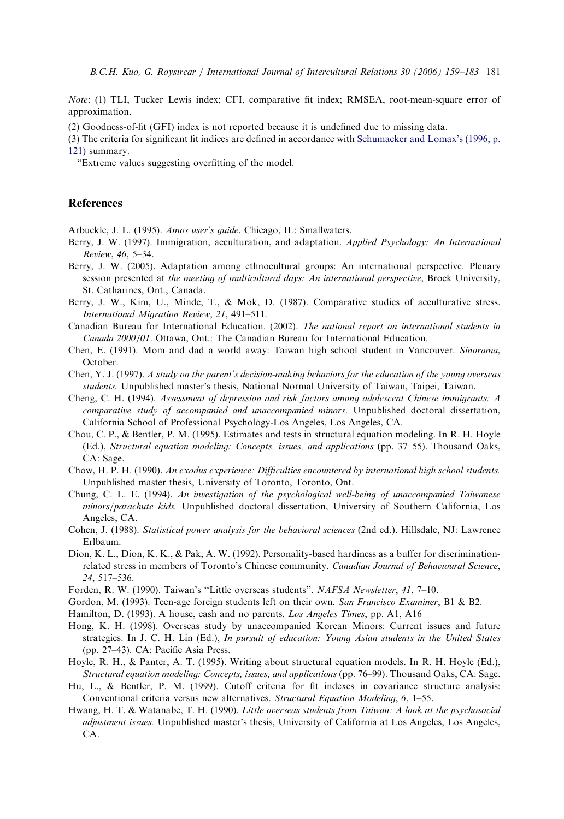<span id="page-23-0"></span>Note: (1) TLI, Tucker–Lewis index; CFI, comparative fit index; RMSEA, root-mean-square error of approximation.

(2) Goodness-of-fit (GFI) index is not reported because it is undefined due to missing data.

(3) The criteria for significant fit indices are defined in accordance with [Schumacker and Lomax's \(1996, p.](#page-24-0)  $121$ ) summary.

Extreme values suggesting overfitting of the model.

#### References

Arbuckle, J. L. (1995). Amos user's guide. Chicago, IL: Smallwaters.

- Berry, J. W. (1997). Immigration, acculturation, and adaptation. Applied Psychology: An International Review, 46, 5–34.
- Berry, J. W. (2005). Adaptation among ethnocultural groups: An international perspective. Plenary session presented at the meeting of multicultural days: An international perspective, Brock University, St. Catharines, Ont., Canada.
- Berry, J. W., Kim, U., Minde, T., & Mok, D. (1987). Comparative studies of acculturative stress. International Migration Review, 21, 491–511.
- Canadian Bureau for International Education. (2002). The national report on international students in Canada 2000/01. Ottawa, Ont.: The Canadian Bureau for International Education.
- Chen, E. (1991). Mom and dad a world away: Taiwan high school student in Vancouver. Sinorama, October.
- Chen, Y. J. (1997). A study on the parent's decision-making behaviors for the education of the young overseas students. Unpublished master's thesis, National Normal University of Taiwan, Taipei, Taiwan.
- Cheng, C. H. (1994). Assessment of depression and risk factors among adolescent Chinese immigrants: A comparative study of accompanied and unaccompanied minors. Unpublished doctoral dissertation, California School of Professional Psychology-Los Angeles, Los Angeles, CA.
- Chou, C. P., & Bentler, P. M. (1995). Estimates and tests in structural equation modeling. In R. H. Hoyle (Ed.), Structural equation modeling: Concepts, issues, and applications (pp. 37–55). Thousand Oaks, CA: Sage.
- Chow, H. P. H. (1990). An exodus experience: Difficulties encountered by international high school students. Unpublished master thesis, University of Toronto, Toronto, Ont.
- Chung, C. L. E. (1994). An investigation of the psychological well-being of unaccompanied Taiwanese minors/parachute kids. Unpublished doctoral dissertation, University of Southern California, Los Angeles, CA.
- Cohen, J. (1988). Statistical power analysis for the behavioral sciences (2nd ed.). Hillsdale, NJ: Lawrence Erlbaum.
- Dion, K. L., Dion, K. K., & Pak, A. W. (1992). Personality-based hardiness as a buffer for discriminationrelated stress in members of Toronto's Chinese community. Canadian Journal of Behavioural Science, 24, 517–536.
- Forden, R. W. (1990). Taiwan's ''Little overseas students''. NAFSA Newsletter, 41, 7–10.
- Gordon, M. (1993). Teen-age foreign students left on their own. San Francisco Examiner, B1 & B2.
- Hamilton, D. (1993). A house, cash and no parents. Los Angeles Times, pp. A1, A16
- Hong, K. H. (1998). Overseas study by unaccompanied Korean Minors: Current issues and future strategies. In J. C. H. Lin (Ed.), In pursuit of education: Young Asian students in the United States (pp. 27–43). CA: Pacific Asia Press.
- Hoyle, R. H., & Panter, A. T. (1995). Writing about structural equation models. In R. H. Hoyle (Ed.), Structural equation modeling: Concepts, issues, and applications (pp. 76–99). Thousand Oaks, CA: Sage.
- Hu, L., & Bentler, P. M. (1999). Cutoff criteria for fit indexes in covariance structure analysis: Conventional criteria versus new alternatives. Structural Equation Modeling, 6, 1–55.
- Hwang, H. T. & Watanabe, T. H. (1990). Little overseas students from Taiwan: A look at the psychosocial adjustment issues. Unpublished master's thesis, University of California at Los Angeles, Los Angeles, CA.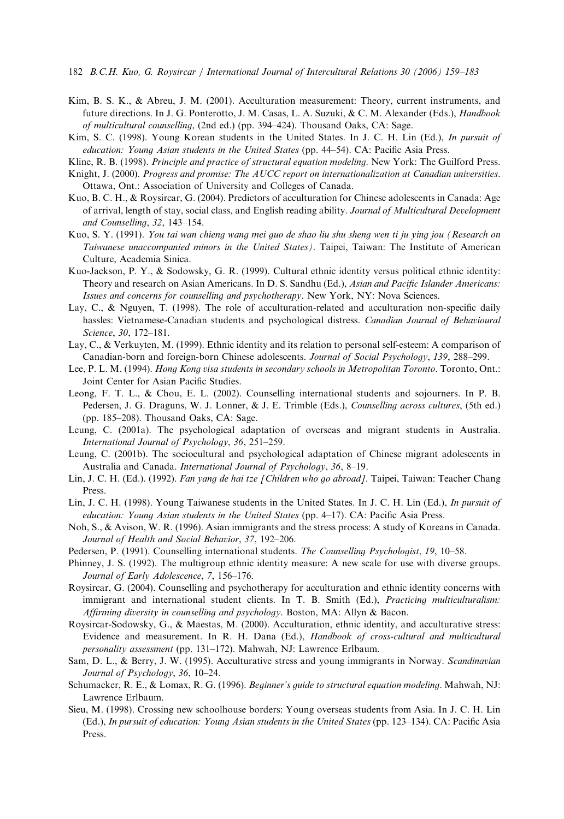- <span id="page-24-0"></span>182 B.C.H. Kuo, G. Roysircar / International Journal of Intercultural Relations 30 (2006) 159–183
- Kim, B. S. K., & Abreu, J. M. (2001). Acculturation measurement: Theory, current instruments, and future directions. In J. G. Ponterotto, J. M. Casas, L. A. Suzuki, & C. M. Alexander (Eds.), *Handbook* of multicultural counselling, (2nd ed.) (pp. 394–424). Thousand Oaks, CA: Sage.
- Kim, S. C. (1998). Young Korean students in the United States. In J. C. H. Lin (Ed.), In pursuit of education: Young Asian students in the United States (pp. 44–54). CA: Pacific Asia Press.
- Kline, R. B. (1998). Principle and practice of structural equation modeling. New York: The Guilford Press. Knight, J. (2000). Progress and promise: The AUCC report on internationalization at Canadian universities.
- Ottawa, Ont.: Association of University and Colleges of Canada.
- Kuo, B. C. H., & Roysircar, G. (2004). Predictors of acculturation for Chinese adolescents in Canada: Age of arrival, length of stay, social class, and English reading ability. Journal of Multicultural Development and Counselling, 32, 143–154.
- Kuo, S. Y. (1991). You tai wan chieng wang mei guo de shao liu shu sheng wen ti ju ying jou (Research on Taiwanese unaccompanied minors in the United States). Taipei, Taiwan: The Institute of American Culture, Academia Sinica.
- Kuo-Jackson, P. Y., & Sodowsky, G. R. (1999). Cultural ethnic identity versus political ethnic identity: Theory and research on Asian Americans. In D. S. Sandhu (Ed.), *Asian and Pacific Islander Americans:* Issues and concerns for counselling and psychotherapy. New York, NY: Nova Sciences.
- Lay, C., & Nguyen, T. (1998). The role of acculturation-related and acculturation non-specific daily hassles: Vietnamese-Canadian students and psychological distress. Canadian Journal of Behavioural Science, 30, 172–181.
- Lay, C., & Verkuyten, M. (1999). Ethnic identity and its relation to personal self-esteem: A comparison of Canadian-born and foreign-born Chinese adolescents. Journal of Social Psychology, 139, 288–299.
- Lee, P. L. M. (1994). Hong Kong visa students in secondary schools in Metropolitan Toronto. Toronto, Ont.: Joint Center for Asian Pacific Studies.
- Leong, F. T. L., & Chou, E. L. (2002). Counselling international students and sojourners. In P. B. Pedersen, J. G. Draguns, W. J. Lonner, & J. E. Trimble (Eds.), *Counselling across cultures*, (5th ed.) (pp. 185–208). Thousand Oaks, CA: Sage.
- Leung, C. (2001a). The psychological adaptation of overseas and migrant students in Australia. International Journal of Psychology, 36, 251–259.
- Leung, C. (2001b). The sociocultural and psychological adaptation of Chinese migrant adolescents in Australia and Canada. International Journal of Psychology, 36, 8-19.
- Lin, J. C. H. (Ed.). (1992). Fan yang de hai tze [Children who go abroad]. Taipei, Taiwan: Teacher Chang Press.
- Lin, J. C. H. (1998). Young Taiwanese students in the United States. In J. C. H. Lin (Ed.), In pursuit of education: Young Asian students in the United States (pp. 4–17). CA: Pacific Asia Press.
- Noh, S., & Avison, W. R. (1996). Asian immigrants and the stress process: A study of Koreans in Canada. Journal of Health and Social Behavior, 37, 192–206.
- Pedersen, P. (1991). Counselling international students. The Counselling Psychologist, 19, 10–58.
- Phinney, J. S. (1992). The multigroup ethnic identity measure: A new scale for use with diverse groups. Journal of Early Adolescence, 7, 156–176.
- Roysircar, G. (2004). Counselling and psychotherapy for acculturation and ethnic identity concerns with immigrant and international student clients. In T. B. Smith (Ed.), *Practicing multiculturalism:* Affirming diversity in counselling and psychology. Boston, MA: Allyn & Bacon.
- Roysircar-Sodowsky, G., & Maestas, M. (2000). Acculturation, ethnic identity, and acculturative stress: Evidence and measurement. In R. H. Dana (Ed.), Handbook of cross-cultural and multicultural personality assessment (pp. 131–172). Mahwah, NJ: Lawrence Erlbaum.
- Sam, D. L., & Berry, J. W. (1995). Acculturative stress and young immigrants in Norway. Scandinavian Journal of Psychology, 36, 10–24.
- Schumacker, R. E., & Lomax, R. G. (1996). Beginner's quide to structural equation modeling. Mahwah, NJ: Lawrence Erlbaum.
- Sieu, M. (1998). Crossing new schoolhouse borders: Young overseas students from Asia. In J. C. H. Lin (Ed.), In pursuit of education: Young Asian students in the United States (pp. 123–134). CA: Pacific Asia Press.